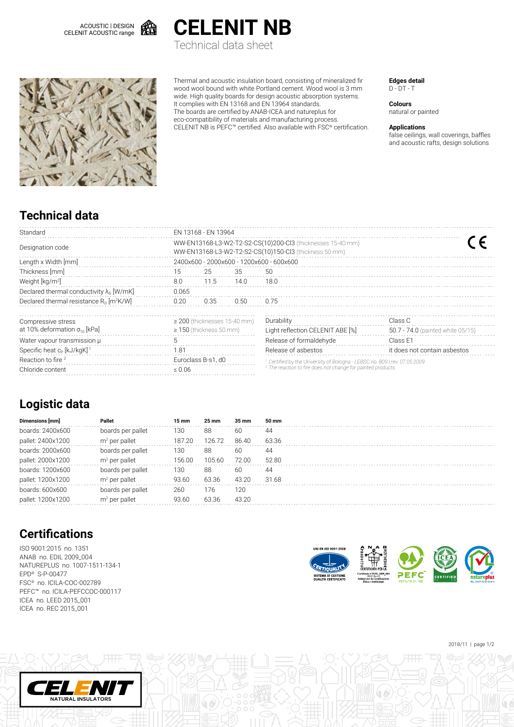



Technical data sheet



Thermal and acoustic insulation board, consisting of mineralized fir wood wool bound with white Portland cement. Wood wool is 3 mm wide. High quality boards for design acoustic absorption systems. It complies with EN 13168 and EN 13964 standards. The boards are certified by ANAB-ICEA and natureplus for eco-compatibility of materials and manufacturing process. CELENIT NB is PEFC™ certified. Also available with FSC® certification. **Edges detail** D - DT - T

**Colours** natural or painted

#### **Applications**

false ceilings, wall coverings, baffles and acoustic rafts, design solutions

## **Technical data**

| Standard                                               | FN 13168 - FN 13964                                                                                                   |      |      |                                                                                                                                                                 |                                   |  |  |  |  |  |
|--------------------------------------------------------|-----------------------------------------------------------------------------------------------------------------------|------|------|-----------------------------------------------------------------------------------------------------------------------------------------------------------------|-----------------------------------|--|--|--|--|--|
| Designation code                                       | WW-EN13168-L3-W2-T2-S2-CS(10)200-Cl3 (thicknesses 15-40 mm)<br>WW-EN13168-L3-W2-T2-S2-CS(10)150-Cl3 (thickness 50 mm) |      |      |                                                                                                                                                                 |                                   |  |  |  |  |  |
| Length x Width [mm]                                    | 2400x600 - 2000x600 - 1200x600 - 600x600                                                                              |      |      |                                                                                                                                                                 |                                   |  |  |  |  |  |
| Thickness [mm]                                         | 15                                                                                                                    | 25   | 35   | 50                                                                                                                                                              |                                   |  |  |  |  |  |
| Weight [kg/m <sup>2</sup> ]                            | 8.0                                                                                                                   | 11.5 | 14.0 | 18.0                                                                                                                                                            |                                   |  |  |  |  |  |
| Declared thermal conductivity $\lambda_{n}$ [W/mK]     | 0.065                                                                                                                 |      |      |                                                                                                                                                                 |                                   |  |  |  |  |  |
| Declared thermal resistance $R_0$ [m <sup>2</sup> K/W] | 0.20                                                                                                                  | 0.35 | 0.50 | 0.75                                                                                                                                                            |                                   |  |  |  |  |  |
| Compressive stress                                     | $\geq$ 200 (thicknesses 15-40 mm)                                                                                     |      |      | Durability<br>Class C                                                                                                                                           |                                   |  |  |  |  |  |
| at 10% deformation $\sigma_{10}$ [kPa]                 | $\geq$ 150 (thickness 50 mm)                                                                                          |      |      | Light reflection CELENIT ABE [%]                                                                                                                                | 50.7 - 74.0 (painted white 05/15) |  |  |  |  |  |
| Water vapour transmission µ                            | 5                                                                                                                     |      |      | Release of formaldehyde                                                                                                                                         | Class E1                          |  |  |  |  |  |
| Specific heat $c_{p}$ [kJ/kgK] <sup>1</sup>            | 181                                                                                                                   |      |      | Release of asbestos                                                                                                                                             | it does not contain asbestos      |  |  |  |  |  |
| Reaction to fire <sup>2</sup>                          | Euroclass B-s1, d0                                                                                                    |      |      | <sup>1</sup> Certified by the University of Bologna - LEBSC no. 809   rev. 07.05.2009<br><sup>2</sup> The reaction to fire does not change for painted products |                                   |  |  |  |  |  |
| Chloride content                                       | $\leq 0.06$                                                                                                           |      |      |                                                                                                                                                                 |                                   |  |  |  |  |  |

### **Logistic data**

| Dimensions [mm]   | <b>Pallet</b>     | 15 mm  | 25 mm  | 35 mm | 50 mm |
|-------------------|-------------------|--------|--------|-------|-------|
| boards: 2400x600  | boards per pallet | 130    | 88     | 60    | 44    |
| pallet: 2400x1200 | $m2$ per pallet   | 187.20 | 126.72 | 86.40 | 63.36 |
| boards: 2000x600  | boards per pallet | 130    | 88     | 60    | 44    |
| pallet: 2000x1200 | $m2$ per pallet   | 156.00 | 105.60 | 72 OO | 52.80 |
| boards: 1200x600  | boards per pallet | 130    | 88     | 60    | 44    |
| pallet: 1200x1200 | $m2$ per pallet   | 93.60  | 63.36  | 43.20 | 31.68 |
| boards: 600x600   | boards per pallet | 260    | 176    | 120   |       |
| pallet: 1200x1200 | $m2$ per pallet   | 93.60  | 63.36  | 43.20 |       |

# **Certifications**

ISO 9001:2015 no. 1351 ANAB no. EDIL 2009\_004 NATUREPLUS no. 1007-1511-134-1 EPD® S-P-00477 FSC® no. ICILA-COC-002789 PEFC™ no. ICILA-PEFCCOC-000117 ICEA no. LEED 2015\_001 ICEA no. REC 2015\_001

NATURAL INSULATORS



2018/11 | page 1/2